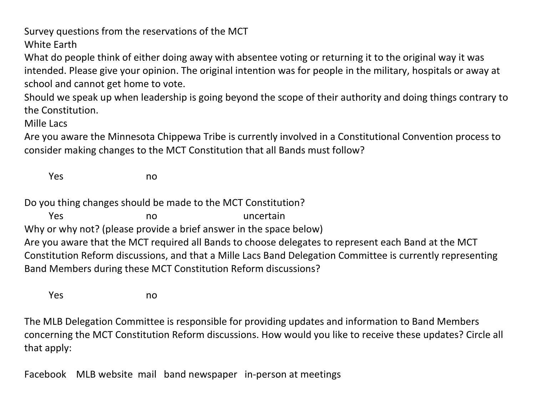Survey questions from the reservations of the MCT White Earth

What do people think of either doing away with absentee voting or returning it to the original way it was intended. Please give your opinion. The original intention was for people in the military, hospitals or away at school and cannot get home to vote.

Should we speak up when leadership is going beyond the scope of their authority and doing things contrary to the Constitution.

Mille Lacs

Are you aware the Minnesota Chippewa Tribe is currently involved in a Constitutional Convention process to consider making changes to the MCT Constitution that all Bands must follow?

Yes no

Do you thing changes should be made to the MCT Constitution?

Yes no no uncertain

Why or why not? (please provide a brief answer in the space below)

Are you aware that the MCT required all Bands to choose delegates to represent each Band at the MCT Constitution Reform discussions, and that a Mille Lacs Band Delegation Committee is currently representing Band Members during these MCT Constitution Reform discussions?

Yes no

The MLB Delegation Committee is responsible for providing updates and information to Band Members concerning the MCT Constitution Reform discussions. How would you like to receive these updates? Circle all that apply:

Facebook MLB website mail band newspaper in-person at meetings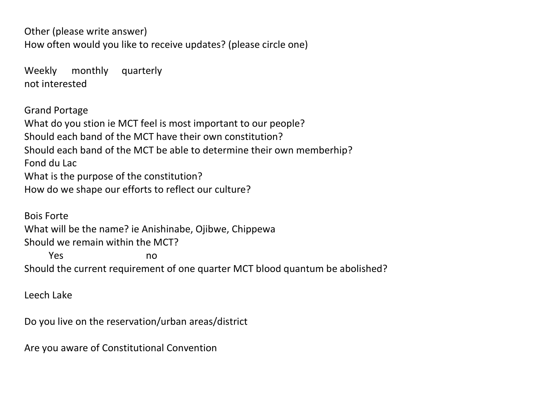Other (please write answer) How often would you like to receive updates? (please circle one)

Weekly monthly quarterly not interested

Grand Portage What do you stion ie MCT feel is most important to our people? Should each band of the MCT have their own constitution? Should each band of the MCT be able to determine their own memberhip? Fond du Lac What is the purpose of the constitution? How do we shape our efforts to reflect our culture?

Bois Forte What will be the name? ie Anishinabe, Ojibwe, Chippewa Should we remain within the MCT? Yes no Should the current requirement of one quarter MCT blood quantum be abolished?

Leech Lake

Do you live on the reservation/urban areas/district

Are you aware of Constitutional Convention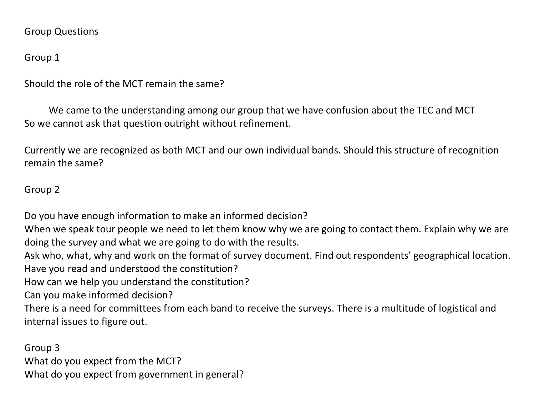#### Group Questions

# Group 1

Should the role of the MCT remain the same?

 We came to the understanding among our group that we have confusion about the TEC and MCT So we cannot ask that question outright without refinement.

Currently we are recognized as both MCT and our own individual bands. Should this structure of recognition remain the same?

# Group 2

Do you have enough information to make an informed decision?

When we speak tour people we need to let them know why we are going to contact them. Explain why we are doing the survey and what we are going to do with the results.

Ask who, what, why and work on the format of survey document. Find out respondents' geographical location. Have you read and understood the constitution?

How can we help you understand the constitution?

Can you make informed decision?

There is a need for committees from each band to receive the surveys. There is a multitude of logistical and internal issues to figure out.

Group 3 What do you expect from the MCT? What do you expect from government in general?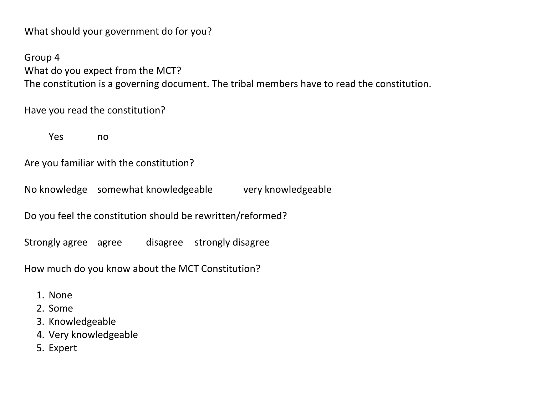What should your government do for you?

Group 4 What do you expect from the MCT? The constitution is a governing document. The tribal members have to read the constitution.

Have you read the constitution?

Yes no

Are you familiar with the constitution?

No knowledge somewhat knowledgeable very knowledgeable

Do you feel the constitution should be rewritten/reformed?

Strongly agree agree disagree strongly disagree

How much do you know about the MCT Constitution?

- 1. None
- 2. Some
- 3. Knowledgeable
- 4. Very knowledgeable
- 5. Expert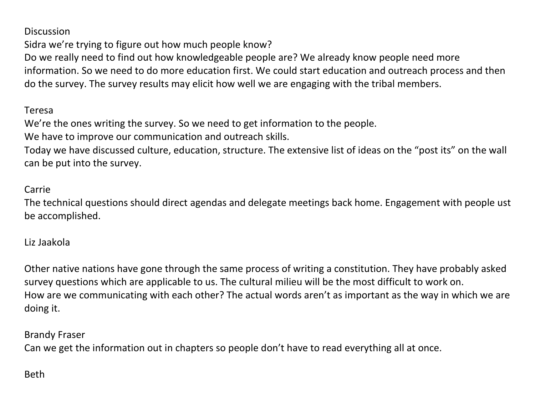Discussion

Sidra we're trying to figure out how much people know?

Do we really need to find out how knowledgeable people are? We already know people need more information. So we need to do more education first. We could start education and outreach process and then do the survey. The survey results may elicit how well we are engaging with the tribal members.

#### Teresa

We're the ones writing the survey. So we need to get information to the people.

We have to improve our communication and outreach skills.

Today we have discussed culture, education, structure. The extensive list of ideas on the "post its" on the wall can be put into the survey.

### Carrie

The technical questions should direct agendas and delegate meetings back home. Engagement with people ust be accomplished.

### Liz Jaakola

Other native nations have gone through the same process of writing a constitution. They have probably asked survey questions which are applicable to us. The cultural milieu will be the most difficult to work on. How are we communicating with each other? The actual words aren't as important as the way in which we are doing it.

### Brandy Fraser

Can we get the information out in chapters so people don't have to read everything all at once.

# Beth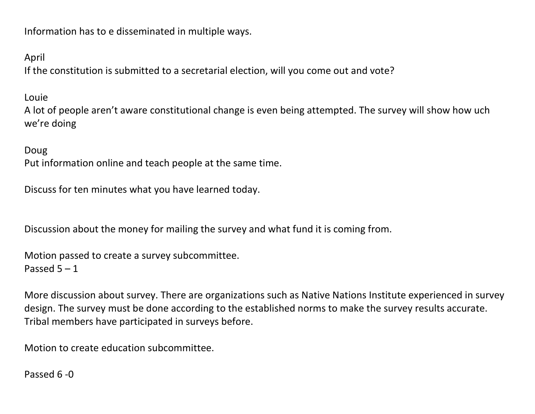Information has to e disseminated in multiple ways.

April

If the constitution is submitted to a secretarial election, will you come out and vote?

Louie

A lot of people aren't aware constitutional change is even being attempted. The survey will show how uch we're doing

#### Doug

Put information online and teach people at the same time.

Discuss for ten minutes what you have learned today.

Discussion about the money for mailing the survey and what fund it is coming from.

Motion passed to create a survey subcommittee. Passed 5 – 1

More discussion about survey. There are organizations such as Native Nations Institute experienced in survey design. The survey must be done according to the established norms to make the survey results accurate. Tribal members have participated in surveys before.

Motion to create education subcommittee.

Passed 6 -0